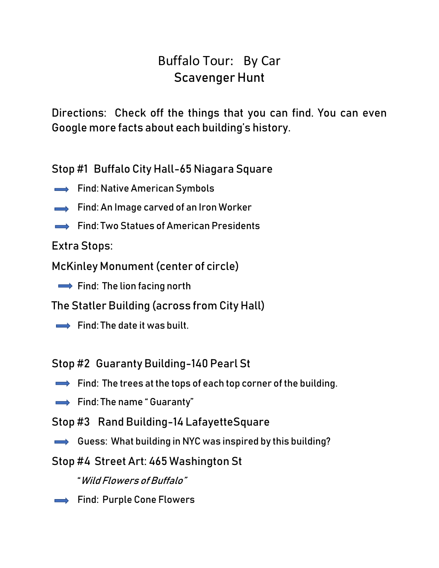# Buffalo Tour: By Car Scavenger Hunt

Directions: Check off the things that you can find. You can even Google more facts about each building's history.

Stop #1 Buffalo City Hall-65 Niagara Square

- $\implies$  Find: Native American Symbols
- $\rightarrow$  Find: An Image carved of an Iron Worker
- Find: Two Statues of American Presidents

Extra Stops:

McKinley Monument (center of circle)

 $\rightarrow$  Find: The lion facing north

The Statler Building (across from City Hall)

 $\rightarrow$  Find: The date it was built.

Stop #2 Guaranty Building-140 Pearl St

- $\implies$  Find: The trees at the tops of each top corner of the building.
- $\implies$  Find: The name " Guaranty"
- Stop #3 Rand Building-14 LafayetteSquare
- Guess: What building in NYC was inspired by this building?
- Stop #4 Street Art: 465 Washington St

"Wild Flowers of Buffalo"

Find: Purple Cone Flowers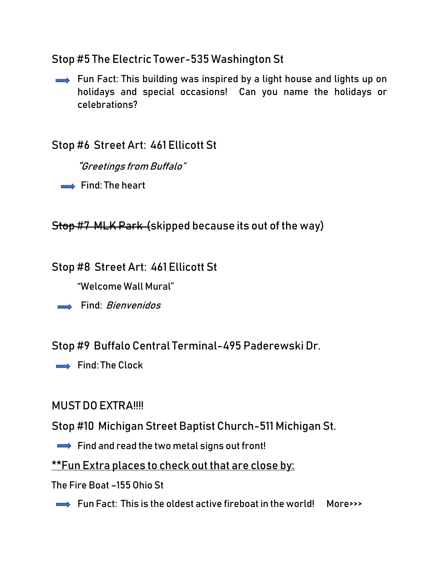### Stop #5 The Electric Tower-535 Washington St

Fun Fact: This building was inspired by a light house and lights up on holidays and special occasions! Can you name the holidays or celebrations?

## Stop #6 Street Art: 461 Ellicott St

"Greetings from Buffalo"

 $\rightarrow$  Find: The heart

Stop #7 MLK Park (skipped because its out of the way)

#### Stop #8 Street Art: 461 Ellicott St

"Welcome Wall Mural"

 $\longrightarrow$  Find: *Bienvenidos* 

Stop #9 Buffalo Central Terminal-495 Paderewski Dr.

 $\rightarrow$  Find: The Clock

#### MUST DO EXTRA!!!!

Stop #10 Michigan Street Baptist Church-511 Michigan St.

 $\rightarrow$  Find and read the two metal signs out front!

\*\*Fun Extra places to check out that are close by:

The Fire Boat –155 Ohio St

 $\rightarrow$  Fun Fact: This is the oldest active fireboat in the world! More>>>